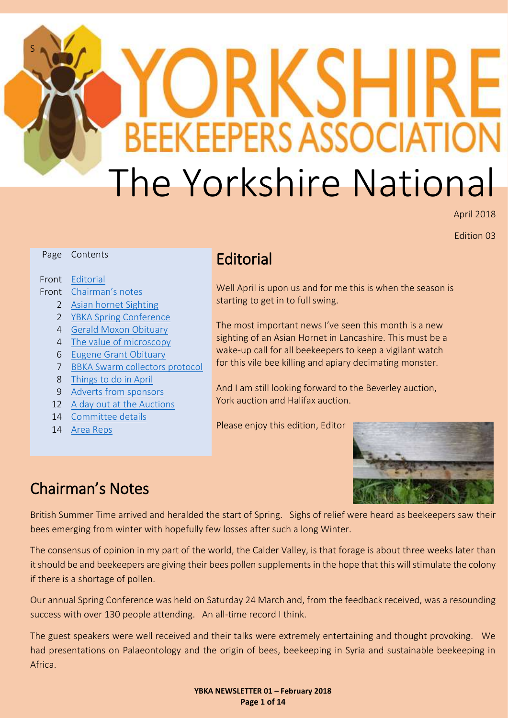# S SEI ֚֘֝֬ **BEEKEEPERS ASSOCIATION** The Yorkshire National

April 2018

Edition 03

<span id="page-0-0"></span>

|                | Page Contents                             | Editor      |
|----------------|-------------------------------------------|-------------|
|                | Front Editorial<br>Front Chairman's notes | Well April  |
|                |                                           | starting to |
| $\mathbf{2}$   | Asian hornet Sighting                     |             |
| $\overline{2}$ | <b>YBKA Spring Conference</b>             |             |
| 4              | <b>Gerald Moxon Obituary</b>              | The most    |
| 4              | The value of microscopy                   | sighting o  |
| 6              | <b>Eugene Grant Obituary</b>              | wake-up     |
| 7              | <b>BBKA Swarm collectors protocol</b>     | for this vi |
| 8              | Things to do in April                     |             |
| 9              | Adverts from sponsors                     | And I am    |
|                |                                           |             |

- 12 [A day out at the Auctions](#page-11-0)
- 14 [Committee details](#page-13-0)
- 14 [Area Reps](#page-13-0)

### ial<sup>.</sup>

is upon us and for me this is when the season is o get in to full swing.

important news I've seen this month is a new of an Asian Hornet in Lancashire. This must be a call for all beekeepers to keep a vigilant watch le bee killing and apiary decimating monster.

still looking forward to the Beverley auction, York auction and Halifax auction.

Please enjoy this edition, Editor



### <span id="page-0-1"></span>Chairman's Notes

British Summer Time arrived and heralded the start of Spring. Sighs of relief were heard as beekeepers saw their bees emerging from winter with hopefully few losses after such a long Winter.

The consensus of opinion in my part of the world, the Calder Valley, is that forage is about three weeks later than it should be and beekeepers are giving their bees pollen supplements in the hope that this will stimulate the colony if there is a shortage of pollen.

Our annual Spring Conference was held on Saturday 24 March and, from the feedback received, was a resounding success with over 130 people attending. An all-time record I think.

The guest speakers were well received and their talks were extremely entertaining and thought provoking. We had presentations on Palaeontology and the origin of bees, beekeeping in Syria and sustainable beekeeping in Africa.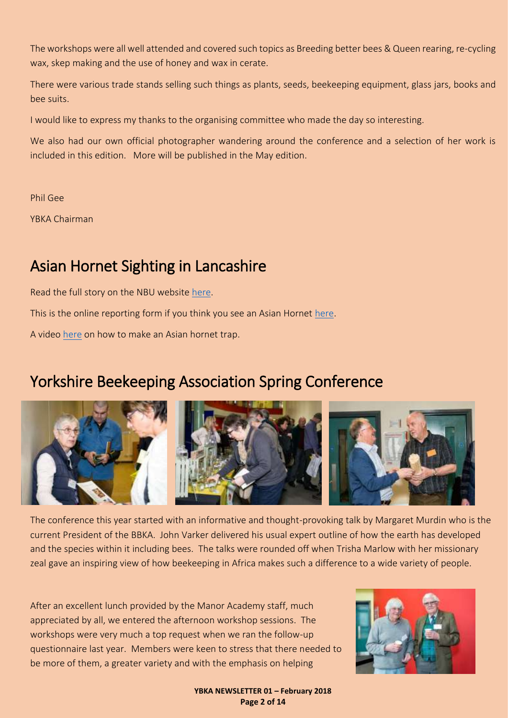The workshops were all well attended and covered such topics as Breeding better bees & Queen rearing, re-cycling wax, skep making and the use of honey and wax in cerate.

There were various trade stands selling such things as plants, seeds, beekeeping equipment, glass jars, books and bee suits.

I would like to express my thanks to the organising committee who made the day so interesting.

We also had our own official photographer wandering around the conference and a selection of her work is included in this edition. More will be published in the May edition.

Phil Gee

YBKA Chairman

### <span id="page-1-0"></span>Asian Hornet Sighting in Lancashire

Read the full story on the NBU website [here.](http://www.nationalbeeunit.com/public/News/news.cfm#198)

This is the online reporting form if you think you see an Asian Hornet [here.](http://www.brc.ac.uk/risc/alert.php?species=asian_hornet)

A video [here](https://www.youtube.com/watch?v=CR6MUekAjMo) on how to make an Asian hornet trap.

### <span id="page-1-1"></span>Yorkshire Beekeeping Association Spring Conference



The conference this year started with an informative and thought-provoking talk by Margaret Murdin who is the current President of the BBKA. John Varker delivered his usual expert outline of how the earth has developed and the species within it including bees. The talks were rounded off when Trisha Marlow with her missionary zeal gave an inspiring view of how beekeeping in Africa makes such a difference to a wide variety of people.

After an excellent lunch provided by the Manor Academy staff, much appreciated by all, we entered the afternoon workshop sessions. The workshops were very much a top request when we ran the follow-up questionnaire last year. Members were keen to stress that there needed to be more of them, a greater variety and with the emphasis on helping



**YBKA NEWSLETTER 01 – February 2018 Page 2 of 14**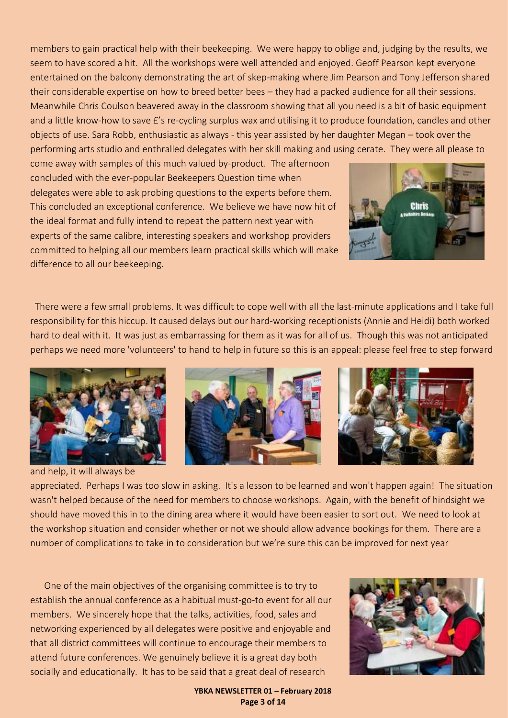members to gain practical help with their beekeeping. We were happy to oblige and, judging by the results, we seem to have scored a hit. All the workshops were well attended and enjoyed. Geoff Pearson kept everyone entertained on the balcony demonstrating the art of skep-making where Jim Pearson and Tony Jefferson shared their considerable expertise on how to breed better bees – they had a packed audience for all their sessions. Meanwhile Chris Coulson beavered away in the classroom showing that all you need is a bit of basic equipment and a little know-how to save £'s re-cycling surplus wax and utilising it to produce foundation, candles and other objects of use. Sara Robb, enthusiastic as always - this year assisted by her daughter Megan – took over the performing arts studio and enthralled delegates with her skill making and using cerate. They were all please to

come away with samples of this much valued by-product. The afternoon concluded with the ever-popular Beekeepers Question time when delegates were able to ask probing questions to the experts before them. This concluded an exceptional conference. We believe we have now hit of the ideal format and fully intend to repeat the pattern next year with experts of the same calibre, interesting speakers and workshop providers committed to helping all our members learn practical skills which will make difference to all our beekeeping.



 There were a few small problems. It was difficult to cope well with all the last-minute applications and I take full responsibility for this hiccup. It caused delays but our hard-working receptionists (Annie and Heidi) both worked hard to deal with it. It was just as embarrassing for them as it was for all of us. Though this was not anticipated perhaps we need more 'volunteers' to hand to help in future so this is an appeal: please feel free to step forward



and help, it will always be





appreciated. Perhaps I was too slow in asking. It's a lesson to be learned and won't happen again! The situation wasn't helped because of the need for members to choose workshops. Again, with the benefit of hindsight we should have moved this in to the dining area where it would have been easier to sort out. We need to look at the workshop situation and consider whether or not we should allow advance bookings for them. There are a number of complications to take in to consideration but we're sure this can be improved for next year

 One of the main objectives of the organising committee is to try to establish the annual conference as a habitual must-go-to event for all our members. We sincerely hope that the talks, activities, food, sales and networking experienced by all delegates were positive and enjoyable and that all district committees will continue to encourage their members to attend future conferences. We genuinely believe it is a great day both socially and educationally. It has to be said that a great deal of research



**YBKA NEWSLETTER 01 – February 2018 Page 3 of 14**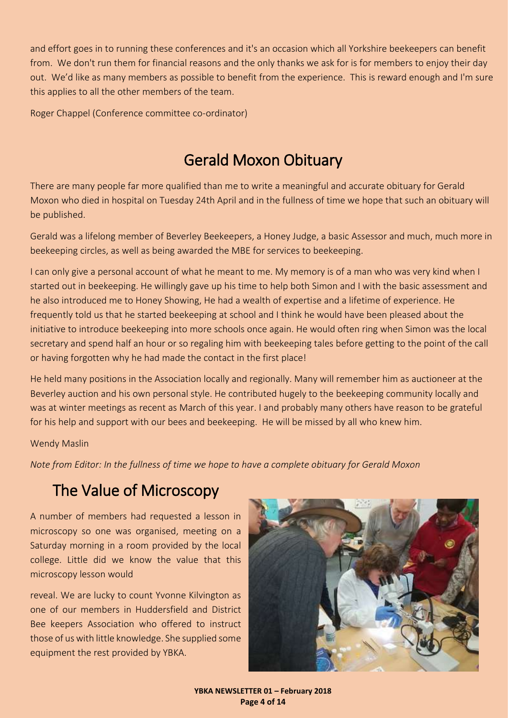and effort goes in to running these conferences and it's an occasion which all Yorkshire beekeepers can benefit from. We don't run them for financial reasons and the only thanks we ask for is for members to enjoy their day out. We'd like as many members as possible to benefit from the experience. This is reward enough and I'm sure this applies to all the other members of the team.

Roger Chappel (Conference committee co-ordinator)

### Gerald Moxon Obituary

<span id="page-3-0"></span>There are many people far more qualified than me to write a meaningful and accurate obituary for Gerald Moxon who died in hospital on Tuesday 24th April and in the fullness of time we hope that such an obituary will be published.

Gerald was a lifelong member of Beverley Beekeepers, a Honey Judge, a basic Assessor and much, much more in beekeeping circles, as well as being awarded the MBE for services to beekeeping.

I can only give a personal account of what he meant to me. My memory is of a man who was very kind when I started out in beekeeping. He willingly gave up his time to help both Simon and I with the basic assessment and he also introduced me to Honey Showing, He had a wealth of expertise and a lifetime of experience. He frequently told us that he started beekeeping at school and I think he would have been pleased about the initiative to introduce beekeeping into more schools once again. He would often ring when Simon was the local secretary and spend half an hour or so regaling him with beekeeping tales before getting to the point of the call or having forgotten why he had made the contact in the first place!

He held many positions in the Association locally and regionally. Many will remember him as auctioneer at the Beverley auction and his own personal style. He contributed hugely to the beekeeping community locally and was at winter meetings as recent as March of this year. I and probably many others have reason to be grateful for his help and support with our bees and beekeeping. He will be missed by all who knew him.

#### Wendy Maslin

*Note from Editor: In the fullness of time we hope to have a complete obituary for Gerald Moxon*

### <span id="page-3-1"></span>The Value of Microscopy

A number of members had requested a lesson in microscopy so one was organised, meeting on a Saturday morning in a room provided by the local college. Little did we know the value that this microscopy lesson would

reveal. We are lucky to count Yvonne Kilvington as one of our members in Huddersfield and District Bee keepers Association who offered to instruct those of us with little knowledge. She supplied some equipment the rest provided by YBKA.



**YBKA NEWSLETTER 01 – February 2018 Page 4 of 14**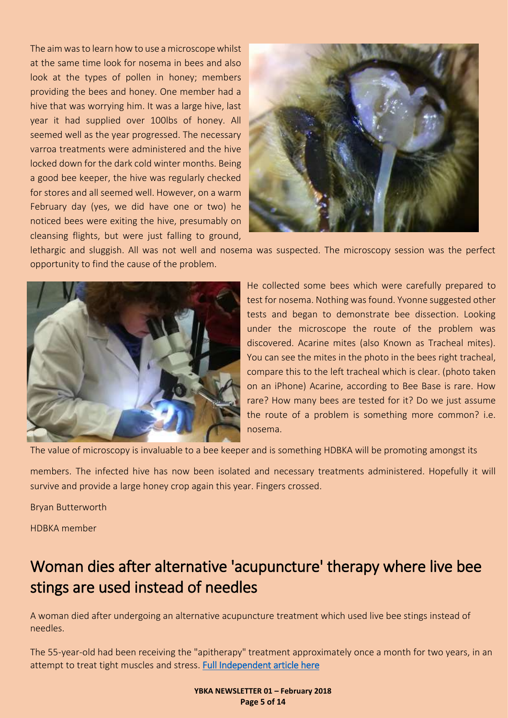The aim was to learn how to use a microscope whilst at the same time look for nosema in bees and also look at the types of pollen in honey; members providing the bees and honey. One member had a hive that was worrying him. It was a large hive, last year it had supplied over 100lbs of honey. All seemed well as the year progressed. The necessary varroa treatments were administered and the hive locked down for the dark cold winter months. Being a good bee keeper, the hive was regularly checked for stores and all seemed well. However, on a warm February day (yes, we did have one or two) he noticed bees were exiting the hive, presumably on cleansing flights, but were just falling to ground,



lethargic and sluggish. All was not well and nosema was suspected. The microscopy session was the perfect opportunity to find the cause of the problem.



He collected some bees which were carefully prepared to test for nosema. Nothing was found. Yvonne suggested other tests and began to demonstrate bee dissection. Looking under the microscope the route of the problem was discovered. Acarine mites (also Known as Tracheal mites). You can see the mites in the photo in the bees right tracheal, compare this to the left tracheal which is clear. (photo taken on an iPhone) Acarine, according to Bee Base is rare. How rare? How many bees are tested for it? Do we just assume the route of a problem is something more common? i.e. nosema.

The value of microscopy is invaluable to a bee keeper and is something HDBKA will be promoting amongst its

members. The infected hive has now been isolated and necessary treatments administered. Hopefully it will survive and provide a large honey crop again this year. Fingers crossed.

Bryan Butterworth

HDBKA member

### Woman dies after alternative 'acupuncture' therapy where live bee stings are used instead of needles

A woman died after undergoing an alternative acupuncture treatment which used live bee stings instead of needles.

The 55-year-old had been receiving the "apitherapy" treatment approximately once a month for two years, in an attempt to treat tight muscles and stress. [Full Independent article here](https://www.independent.co.uk/news/world/europe/woman-dies-acupuncture-therapy-live-bee-stings-needles-spain-investigation-jiaci-stress-a8264886.html#ampshare=http://www.independent.co.uk/news/world/europe/woman-dies-acupuncture-therapy-live-bee-stings-needles-spain-investigation-jiaci-stress-a8264886.html) 

> **YBKA NEWSLETTER 01 – February 2018 Page 5 of 14**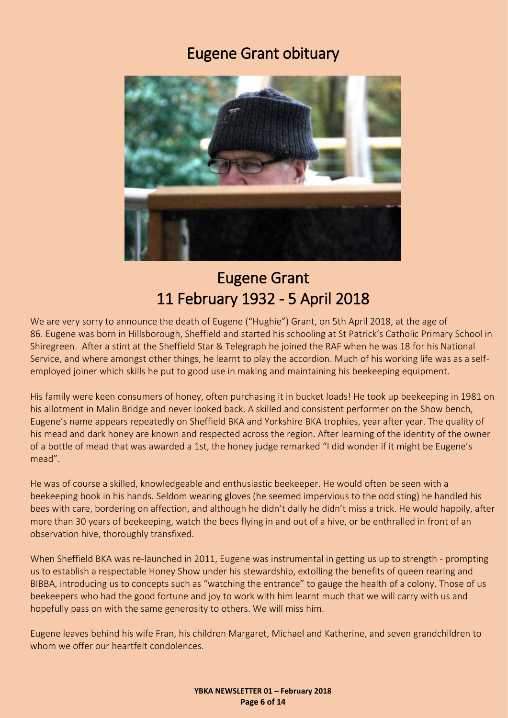### Eugene Grant obituary

<span id="page-5-0"></span>

### Eugene Grant 11 February 1932 - 5 April 2018

We are very sorry to announce the death of Eugene ("Hughie") Grant, on 5th April 2018, at the age of 86. Eugene was born in Hillsborough, Sheffield and started his schooling at St Patrick's Catholic Primary School in Shiregreen. After a stint at the Sheffield Star & Telegraph he joined the RAF when he was 18 for his National Service, and where amongst other things, he learnt to play the accordion. Much of his working life was as a selfemployed joiner which skills he put to good use in making and maintaining his beekeeping equipment.

His family were keen consumers of honey, often purchasing it in bucket loads! He took up beekeeping in 1981 on his allotment in Malin Bridge and never looked back. A skilled and consistent performer on the Show bench, Eugene's name appears repeatedly on Sheffield BKA and Yorkshire BKA trophies, year after year. The quality of his mead and dark honey are known and respected across the region. After learning of the identity of the owner of a bottle of mead that was awarded a 1st, the honey judge remarked "I did wonder if it might be Eugene's mead".

He was of course a skilled, knowledgeable and enthusiastic beekeeper. He would often be seen with a beekeeping book in his hands. Seldom wearing gloves (he seemed impervious to the odd sting) he handled his bees with care, bordering on affection, and although he didn't dally he didn't miss a trick. He would happily, after more than 30 years of beekeeping, watch the bees flying in and out of a hive, or be enthralled in front of an observation hive, thoroughly transfixed.

When Sheffield BKA was re-launched in 2011, Eugene was instrumental in getting us up to strength - prompting us to establish a respectable Honey Show under his stewardship, extolling the benefits of queen rearing and BIBBA, introducing us to concepts such as "watching the entrance" to gauge the health of a colony. Those of us beekeepers who had the good fortune and joy to work with him learnt much that we will carry with us and hopefully pass on with the same generosity to others. We will miss him.

Eugene leaves behind his wife Fran, his children Margaret, Michael and Katherine, and seven grandchildren to whom we offer our heartfelt condolences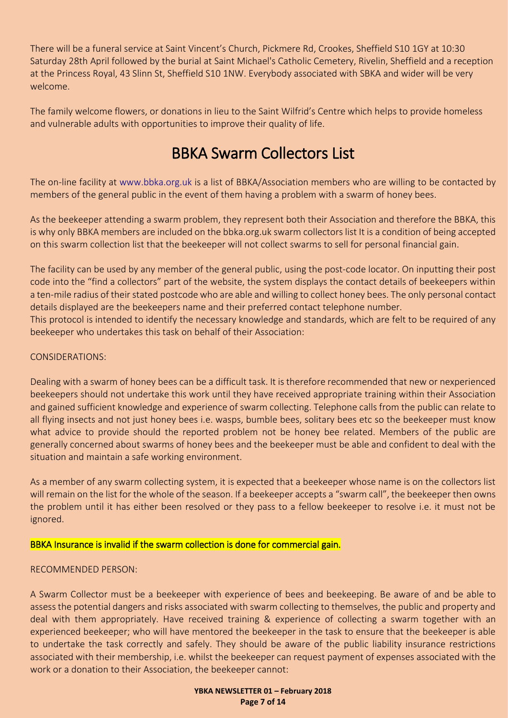There will be a funeral service at Saint Vincent's Church, Pickmere Rd, Crookes, Sheffield S10 1GY at 10:30 Saturday 28th April followed by the burial at Saint Michael's Catholic Cemetery, Rivelin, Sheffield and a reception at the Princess Royal, 43 Slinn St, Sheffield S10 1NW. Everybody associated with SBKA and wider will be very welcome.

The family welcome flowers, or donations in lieu to the Saint Wilfrid's Centre which helps to provide homeless and vulnerable adults with opportunities to improve their quality of life.

### BBKA Swarm Collectors List

<span id="page-6-0"></span>The on-line facility at www.bbka.org.uk is a list of BBKA/Association members who are willing to be contacted by members of the general public in the event of them having a problem with a swarm of honey bees.

As the beekeeper attending a swarm problem, they represent both their Association and therefore the BBKA, this is why only BBKA members are included on the bbka.org.uk swarm collectors list It is a condition of being accepted on this swarm collection list that the beekeeper will not collect swarms to sell for personal financial gain.

The facility can be used by any member of the general public, using the post-code locator. On inputting their post code into the "find a collectors" part of the website, the system displays the contact details of beekeepers within a ten-mile radius of their stated postcode who are able and willing to collect honey bees. The only personal contact details displayed are the beekeepers name and their preferred contact telephone number.

This protocol is intended to identify the necessary knowledge and standards, which are felt to be required of any beekeeper who undertakes this task on behalf of their Association:

#### CONSIDERATIONS:

Dealing with a swarm of honey bees can be a difficult task. It is therefore recommended that new or nexperienced beekeepers should not undertake this work until they have received appropriate training within their Association and gained sufficient knowledge and experience of swarm collecting. Telephone calls from the public can relate to all flying insects and not just honey bees i.e. wasps, bumble bees, solitary bees etc so the beekeeper must know what advice to provide should the reported problem not be honey bee related. Members of the public are generally concerned about swarms of honey bees and the beekeeper must be able and confident to deal with the situation and maintain a safe working environment.

As a member of any swarm collecting system, it is expected that a beekeeper whose name is on the collectors list will remain on the list for the whole of the season. If a beekeeper accepts a "swarm call", the beekeeper then owns the problem until it has either been resolved or they pass to a fellow beekeeper to resolve i.e. it must not be ignored.

#### BBKA Insurance is invalid if the swarm collection is done for commercial gain.

#### RECOMMENDED PERSON:

A Swarm Collector must be a beekeeper with experience of bees and beekeeping. Be aware of and be able to assess the potential dangers and risks associated with swarm collecting to themselves, the public and property and deal with them appropriately. Have received training & experience of collecting a swarm together with an experienced beekeeper; who will have mentored the beekeeper in the task to ensure that the beekeeper is able to undertake the task correctly and safely. They should be aware of the public liability insurance restrictions associated with their membership, i.e. whilst the beekeeper can request payment of expenses associated with the work or a donation to their Association, the beekeeper cannot:

> **YBKA NEWSLETTER 01 – February 2018 Page 7 of 14**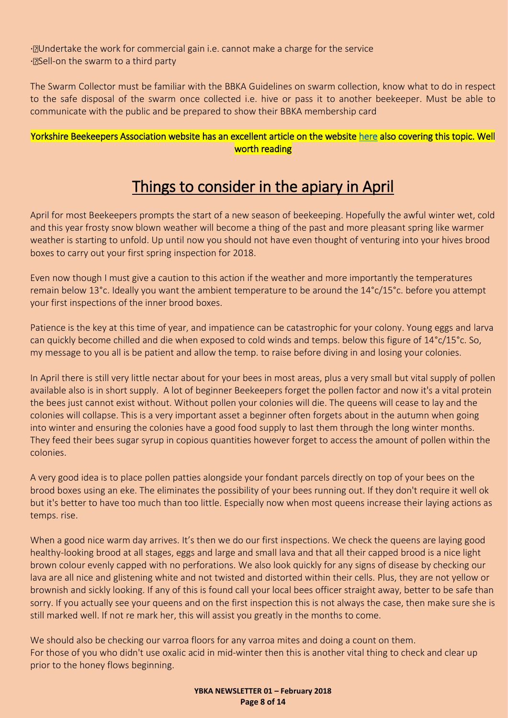⋅ Undertake the work for commercial gain i.e. cannot make a charge for the service · *N***Sell-on the swarm to a third party** 

The Swarm Collector must be familiar with the BBKA Guidelines on swarm collection, know what to do in respect to the safe disposal of the swarm once collected i.e. hive or pass it to another beekeeper. Must be able to communicate with the public and be prepared to show their BBKA membership card

### <span id="page-7-0"></span>Yorkshire Beekeepers Association website has an excellent article on the website [here](https://ybka.org.uk/swarms-and-beekeepers/) also covering this topic. Well worth reading

### Things to consider in the apiary in April

April for most Beekeepers prompts the start of a new season of beekeeping. Hopefully the awful winter wet, cold and this year frosty snow blown weather will become a thing of the past and more pleasant spring like warmer weather is starting to unfold. Up until now you should not have even thought of venturing into your hives brood boxes to carry out your first spring inspection for 2018.

Even now though I must give a caution to this action if the weather and more importantly the temperatures remain below 13°c. Ideally you want the ambient temperature to be around the 14°c/15°c. before you attempt your first inspections of the inner brood boxes.

Patience is the key at this time of year, and impatience can be catastrophic for your colony. Young eggs and larva can quickly become chilled and die when exposed to cold winds and temps. below this figure of 14°c/15°c. So, my message to you all is be patient and allow the temp. to raise before diving in and losing your colonies.

In April there is still very little nectar about for your bees in most areas, plus a very small but vital supply of pollen available also is in short supply. A lot of beginner Beekeepers forget the pollen factor and now it's a vital protein the bees just cannot exist without. Without pollen your colonies will die. The queens will cease to lay and the colonies will collapse. This is a very important asset a beginner often forgets about in the autumn when going into winter and ensuring the colonies have a good food supply to last them through the long winter months. They feed their bees sugar syrup in copious quantities however forget to access the amount of pollen within the colonies.

A very good idea is to place pollen patties alongside your fondant parcels directly on top of your bees on the brood boxes using an eke. The eliminates the possibility of your bees running out. If they don't require it well ok but it's better to have too much than too little. Especially now when most queens increase their laying actions as temps. rise.

When a good nice warm day arrives. It's then we do our first inspections. We check the queens are laying good healthy-looking brood at all stages, eggs and large and small lava and that all their capped brood is a nice light brown colour evenly capped with no perforations. We also look quickly for any signs of disease by checking our lava are all nice and glistening white and not twisted and distorted within their cells. Plus, they are not yellow or brownish and sickly looking. If any of this is found call your local bees officer straight away, better to be safe than sorry. If you actually see your queens and on the first inspection this is not always the case, then make sure she is still marked well. If not re mark her, this will assist you greatly in the months to come.

We should also be checking our varroa floors for any varroa mites and doing a count on them. For those of you who didn't use oxalic acid in mid-winter then this is another vital thing to check and clear up prior to the honey flows beginning.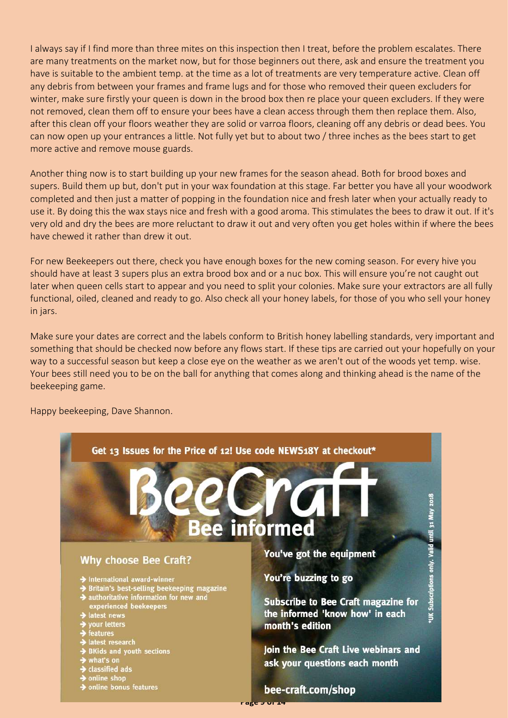I always say if I find more than three mites on this inspection then I treat, before the problem escalates. There are many treatments on the market now, but for those beginners out there, ask and ensure the treatment you have is suitable to the ambient temp. at the time as a lot of treatments are very temperature active. Clean off any debris from between your frames and frame lugs and for those who removed their queen excluders for winter, make sure firstly your queen is down in the brood box then re place your queen excluders. If they were not removed, clean them off to ensure your bees have a clean access through them then replace them. Also, after this clean off your floors weather they are solid or varroa floors, cleaning off any debris or dead bees. You can now open up your entrances a little. Not fully yet but to about two / three inches as the bees start to get more active and remove mouse guards.

Another thing now is to start building up your new frames for the season ahead. Both for brood boxes and supers. Build them up but, don't put in your wax foundation at this stage. Far better you have all your woodwork completed and then just a matter of popping in the foundation nice and fresh later when your actually ready to use it. By doing this the wax stays nice and fresh with a good aroma. This stimulates the bees to draw it out. If it's very old and dry the bees are more reluctant to draw it out and very often you get holes within if where the bees have chewed it rather than drew it out.

For new Beekeepers out there, check you have enough boxes for the new coming season. For every hive you should have at least 3 supers plus an extra brood box and or a nuc box. This will ensure you're not caught out later when queen cells start to appear and you need to split your colonies. Make sure your extractors are all fully functional, oiled, cleaned and ready to go. Also check all your honey labels, for those of you who sell your honey in jars.

Make sure your dates are correct and the labels conform to British honey labelling standards, very important and something that should be checked now before any flows start. If these tips are carried out your hopefully on your way to a successful season but keep a close eye on the weather as we aren't out of the woods yet temp. wise. Your bees still need you to be on the ball for anything that comes along and thinking ahead is the name of the beekeeping game.



Happy beekeeping, Dave Shannon.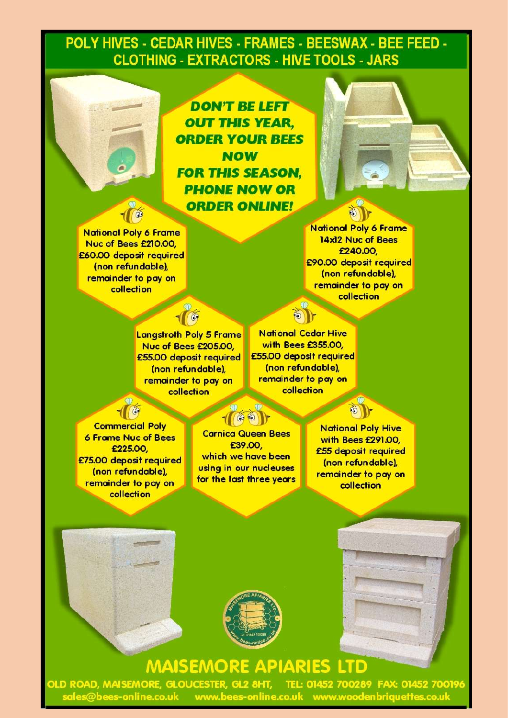### <span id="page-9-0"></span>POLY HIVES - CEDAR HIVES - FRAMES - BEESWAX - BEE FEED -**CLOTHING - EXTRACTORS - HIVE TOOLS - JARS**

**DON'T BE LEFT OUT THIS YEAR. ORDER YOUR BEES NOW FOR THIS SEASON. PHONE NOW OR ORDER ONLINE!** 



**National Poly 6 Frame** 14x12 Nuc of Bees £240.00 £90.00 deposit required (non refundable), remainder to pay on collection

**Lanastroth Poly 5 Frame** Nuc of Bees £205.00, £55.00 deposit required (non refundable), remainder to pay on collection

#### **National Cedar Hive** with Bees £355.00, £55.00 deposit required (non refundable), remainder to pay on collection

**Commercial Poly 6 Frame Nuc of Bees** £225.00 £75.00 deposit required (non refundable), remainder to pay on collection

1

**Carnica Queen Bees** £39.00 which we have been using in our nucleuses for the last three years

**National Poly Hive** with Bees £291.00, £55 deposit required (non refundable), remainder to pay on collection







## **MAISEMORE APIARIES LTD**

**YBKA NEWSLETTER 01 – February 2018 Page 10 of 14**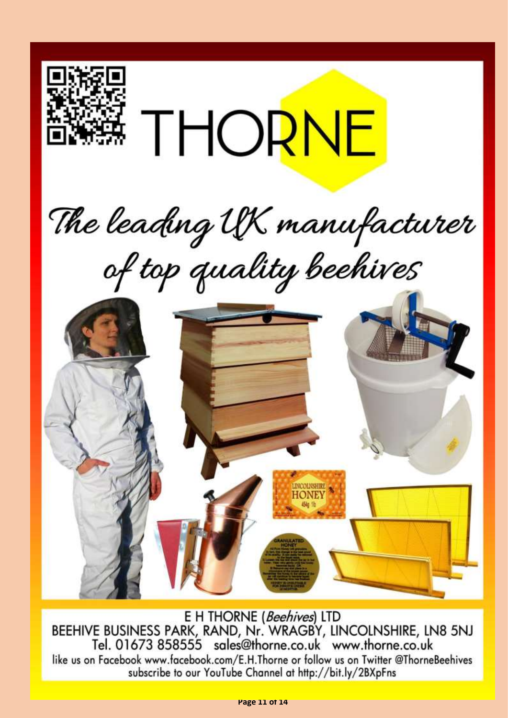

E H THORNE (Beehives) LTD BEEHIVE BUSINESS PARK, RAND, Nr. WRAGBY, LINCOLNSHIRE, LN8 5NJ Tel. 01673 858555 sales@thorne.co.uk www.thorne.co.uk like us on Facebook www.facebook.com/E.H.Thorne or follow us on Twitter @ThorneBeehives subscribe to our YouTube Channel at http://bit.ly/2BXpFns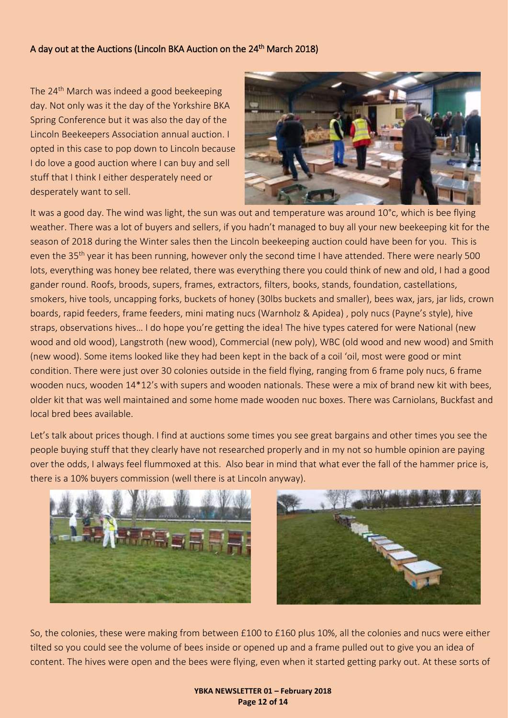### <span id="page-11-0"></span>A day out at the Auctions (Lincoln BKA Auction on the 24<sup>th</sup> March 2018)

The 24<sup>th</sup> March was indeed a good beekeeping day. Not only was it the day of the Yorkshire BKA Spring Conference but it was also the day of the Lincoln Beekeepers Association annual auction. I opted in this case to pop down to Lincoln because I do love a good auction where I can buy and sell stuff that I think I either desperately need or desperately want to sell.



It was a good day. The wind was light, the sun was out and temperature was around 10°c, which is bee flying weather. There was a lot of buyers and sellers, if you hadn't managed to buy all your new beekeeping kit for the season of 2018 during the Winter sales then the Lincoln beekeeping auction could have been for you. This is even the 35<sup>th</sup> year it has been running, however only the second time I have attended. There were nearly 500 lots, everything was honey bee related, there was everything there you could think of new and old, I had a good gander round. Roofs, broods, supers, frames, extractors, filters, books, stands, foundation, castellations, smokers, hive tools, uncapping forks, buckets of honey (30lbs buckets and smaller), bees wax, jars, jar lids, crown boards, rapid feeders, frame feeders, mini mating nucs (Warnholz & Apidea) , poly nucs (Payne's style), hive straps, observations hives... I do hope you're getting the idea! The hive types catered for were National (new wood and old wood), Langstroth (new wood), Commercial (new poly), WBC (old wood and new wood) and Smith (new wood). Some items looked like they had been kept in the back of a coil 'oil, most were good or mint condition. There were just over 30 colonies outside in the field flying, ranging from 6 frame poly nucs, 6 frame wooden nucs, wooden 14\*12's with supers and wooden nationals. These were a mix of brand new kit with bees, older kit that was well maintained and some home made wooden nuc boxes. There was Carniolans, Buckfast and local bred bees available.

Let's talk about prices though. I find at auctions some times you see great bargains and other times you see the people buying stuff that they clearly have not researched properly and in my not so humble opinion are paying over the odds, I always feel flummoxed at this. Also bear in mind that what ever the fall of the hammer price is, there is a 10% buyers commission (well there is at Lincoln anyway).





So, the colonies, these were making from between £100 to £160 plus 10%, all the colonies and nucs were either tilted so you could see the volume of bees inside or opened up and a frame pulled out to give you an idea of content. The hives were open and the bees were flying, even when it started getting parky out. At these sorts of

#### **YBKA NEWSLETTER 01 – February 2018 Page 12 of 14**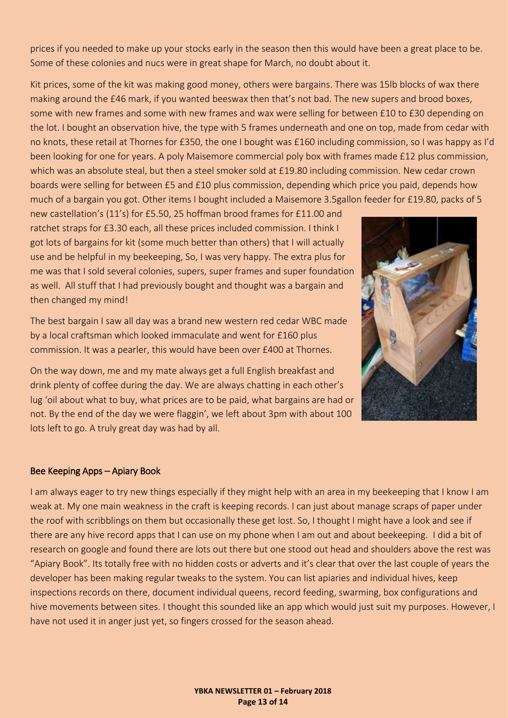prices if you needed to make up your stocks early in the season then this would have been a great place to be. Some of these colonies and nucs were in great shape for March, no doubt about it.

Kit prices, some of the kit was making good money, others were bargains. There was 15lb blocks of wax there making around the £46 mark, if you wanted beeswax then that's not bad. The new supers and brood boxes, some with new frames and some with new frames and wax were selling for between £10 to £30 depending on the lot. I bought an observation hive, the type with 5 frames underneath and one on top, made from cedar with no knots, these retail at Thornes for £350, the one I bought was £160 including commission, so I was happy as I'd been looking for one for years. A poly Maisemore commercial poly box with frames made £12 plus commission, which was an absolute steal, but then a steel smoker sold at £19.80 including commission. New cedar crown boards were selling for between £5 and £10 plus commission, depending which price you paid, depends how much of a bargain you got. Other items I bought included a Maisemore 3.5gallon feeder for £19.80, packs of 5

new castellation's (11's) for £5.50, 25 hoffman brood frames for £11.00 and ratchet straps for £3.30 each, all these prices included commission. I think I got lots of bargains for kit (some much better than others) that I will actually use and be helpful in my beekeeping, So, I was very happy. The extra plus for me was that I sold several colonies, supers, super frames and super foundation as well. All stuff that I had previously bought and thought was a bargain and then changed my mind!

The best bargain I saw all day was a brand new western red cedar WBC made by a local craftsman which looked immaculate and went for £160 plus commission. It was a pearler, this would have been over £400 at Thornes.

On the way down, me and my mate always get a full English breakfast and drink plenty of coffee during the day. We are always chatting in each other's lug 'oil about what to buy, what prices are to be paid, what bargains are had or not. By the end of the day we were flaggin', we left about 3pm with about 100 lots left to go. A truly great day was had by all.



#### Bee Keeping Apps – Apiary Book

I am always eager to try new things especially if they might help with an area in my beekeeping that I know I am weak at. My one main weakness in the craft is keeping records. I can just about manage scraps of paper under the roof with scribblings on them but occasionally these get lost. So, I thought I might have a look and see if there are any hive record apps that I can use on my phone when I am out and about beekeeping. I did a bit of research on google and found there are lots out there but one stood out head and shoulders above the rest was "Apiary Book". Its totally free with no hidden costs or adverts and it's clear that over the last couple of years the developer has been making regular tweaks to the system. You can list apiaries and individual hives, keep inspections records on there, document individual queens, record feeding, swarming, box configurations and hive movements between sites. I thought this sounded like an app which would just suit my purposes. However, I have not used it in anger just yet, so fingers crossed for the season ahead.